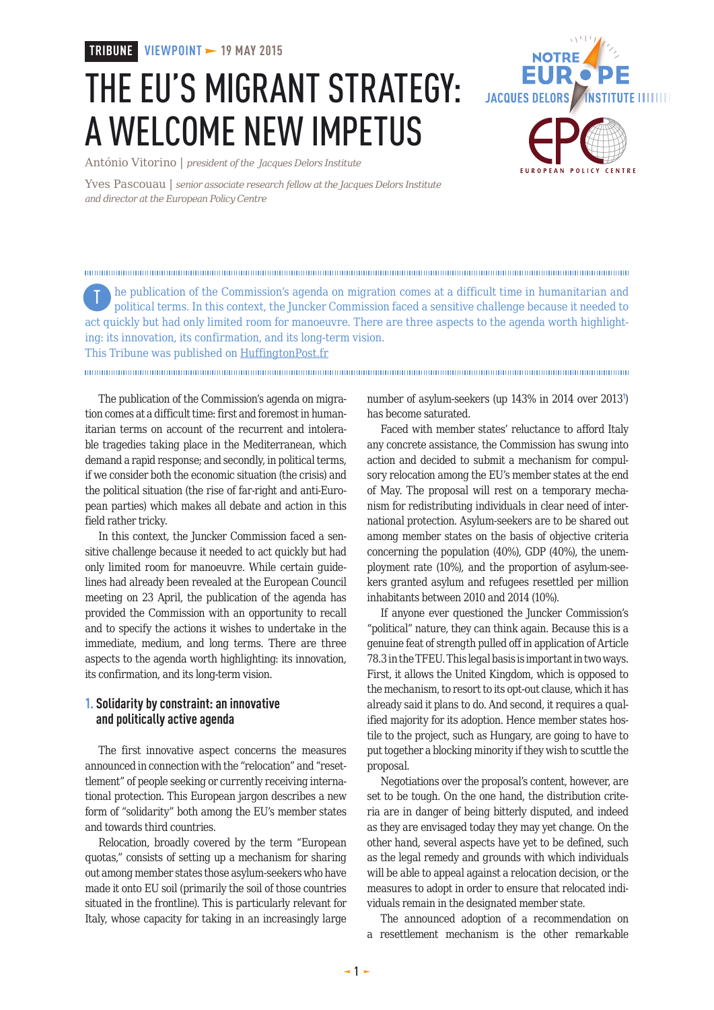**TRIBUNE VIEWPOINT 19 MAY 2015**

## THE EU'S MIGRANT STRATEGY: A WELCOME NEW IMPETUS

**JACQUES DELORS /INSTITUTE IIIIIIII** FUROPEAN POLICY CENTRE

António Vitorino | *president of the Jacques Delors Institute*

Yves Pascouau | *senior associate research fellow at the Jacques Delors Institute and director at the European Policy Centre*

he publication of the Commission's agenda on migration comes at a difficult time in humanitarian and political terms. In this context, the Juncker Commission faced a sensitive challenge because it needed to act quickly but had only limited room for manoeuvre. There are three aspects to the agenda worth highlighting: its innovation, its confirmation, and its long-term vision. This Tribune was published on [HuffingtonPost.fr](http://www.delorsinstitute.eu/011-21304-Antonio-Vitorino-et-Yves-Pascouau-sur-le-Huffington-Post-L-agenda-migratoire-de-l-UE-un-nouvel-elan.html) T

The publication of the Commission's agenda on migration comes at a difficult time: first and foremost in humanitarian terms on account of the recurrent and intolerable tragedies taking place in the Mediterranean, which demand a rapid response; and secondly, in political terms, if we consider both the economic situation (the crisis) and the political situation (the rise of far-right and anti-European parties) which makes all debate and action in this field rather tricky.

In this context, the Juncker Commission faced a sensitive challenge because it needed to act quickly but had only limited room for manoeuvre. While certain guidelines had already been revealed at the European Council meeting on 23 April, the publication of the agenda has provided the Commission with an opportunity to recall and to specify the actions it wishes to undertake in the immediate, medium, and long terms. There are three aspects to the agenda worth highlighting: its innovation, its confirmation, and its long-term vision.

## **1. Solidarity by constraint: an innovative and politically active agenda**

The first innovative aspect concerns the measures announced in connection with the "relocation" and "resettlement" of people seeking or currently receiving international protection. This European jargon describes a new form of "solidarity" both among the EU's member states and towards third countries.

Relocation, broadly covered by the term "European quotas," consists of setting up a mechanism for sharing out among member states those asylum-seekers who have made it onto EU soil (primarily the soil of those countries situated in the frontline). This is particularly relevant for Italy, whose capacity for taking in an increasingly large

number of asylum-seekers (up 143% in 2014 over 2013<sup>1</sup> ) has become saturated.

Faced with member states' reluctance to afford Italy any concrete assistance, the Commission has swung into action and decided to submit a mechanism for compulsory relocation among the EU's member states at the end of May. The proposal will rest on a temporary mechanism for redistributing individuals in clear need of international protection. Asylum-seekers are to be shared out among member states on the basis of objective criteria concerning the population (40%), GDP (40%), the unemployment rate (10%), and the proportion of asylum-seekers granted asylum and refugees resettled per million inhabitants between 2010 and 2014 (10%).

If anyone ever questioned the Juncker Commission's "political" nature, they can think again. Because this is a genuine feat of strength pulled off in application of Article 78.3 in the TFEU. This legal basis is important in two ways. First, it allows the United Kingdom, which is opposed to the mechanism, to resort to its opt-out clause, which it has already said it plans to do. And second, it requires a qualified majority for its adoption. Hence member states hostile to the project, such as Hungary, are going to have to put together a blocking minority if they wish to scuttle the proposal.

Negotiations over the proposal's content, however, are set to be tough. On the one hand, the distribution criteria are in danger of being bitterly disputed, and indeed as they are envisaged today they may yet change. On the other hand, several aspects have yet to be defined, such as the legal remedy and grounds with which individuals will be able to appeal against a relocation decision, or the measures to adopt in order to ensure that relocated individuals remain in the designated member state.

The announced adoption of a recommendation on a resettlement mechanism is the other remarkable